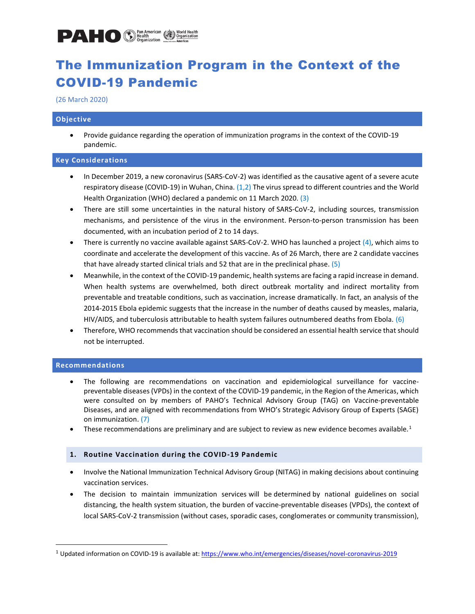

## The Immunization Program in the Context of the COVID-19 Pandemic

(26 March 2020)

### **Objective**

• Provide guidance regarding the operation of immunization programs in the context of the COVID-19 pandemic.

### **Key Considerations**

- In December 2019, a new coronavirus (SARS-CoV-2) was identified as the causative agent of a severe acute respiratory disease (COVID-19) in Wuhan, China. (1,2) The virus spread to different countries and the World Health Organization (WHO) declared a pandemic on 11 March 2020. (3)
- There are still some uncertainties in the natural history of SARS-CoV-2, including sources, transmission mechanisms, and persistence of the virus in the environment. Person-to-person transmission has been documented, with an incubation period of 2 to 14 days.
- There is currently no vaccine available against SARS-CoV-2. WHO has launched a project (4), which aims to coordinate and accelerate the development of this vaccine. As of 26 March, there are 2 candidate vaccines that have already started clinical trials and 52 that are in the preclinical phase. (5)
- Meanwhile, in the context of the COVID-19 pandemic, health systems are facing a rapid increase in demand. When health systems are overwhelmed, both direct outbreak mortality and indirect mortality from preventable and treatable conditions, such as vaccination, increase dramatically. In fact, an analysis of the 2014-2015 Ebola epidemic suggests that the increase in the number of deaths caused by measles, malaria, HIV/AIDS, and tuberculosis attributable to health system failures outnumbered deaths from Ebola. (6)
- Therefore, WHO recommends that vaccination should be considered an essential health service that should not be interrupted.

### **Recommendations**

- The following are recommendations on vaccination and epidemiological surveillance for vaccinepreventable diseases (VPDs) in the context of the COVID-19 pandemic, in the Region of the Americas, which were consulted on by members of PAHO's Technical Advisory Group (TAG) on Vaccine-preventable Diseases, and are aligned with recommendations from WHO's Strategic Advisory Group of Experts (SAGE) on immunization. (7)
- These recommendations are preliminary and are subject to review as new evidence becomes available.<sup>1</sup>

### **1. Routine Vaccination during the COVID-19 Pandemic**

- Involve the National Immunization Technical Advisory Group (NITAG) in making decisions about continuing vaccination services.
- The decision to maintain immunization services will be determined by national guidelines on social distancing, the health system situation, the burden of vaccine-preventable diseases (VPDs), the context of local SARS-CoV-2 transmission (without cases, sporadic cases, conglomerates or community transmission),

<sup>&</sup>lt;sup>1</sup> Updated information on COVID-19 is available at: [https://www.who.int/emergencies/diseases/novel-coronavirus-2019](https://translate.google.com/translate?hl=en&prev=_t&sl=es&tl=en&u=https://www.who.int/emergencies/diseases/novel-coronavirus-2019)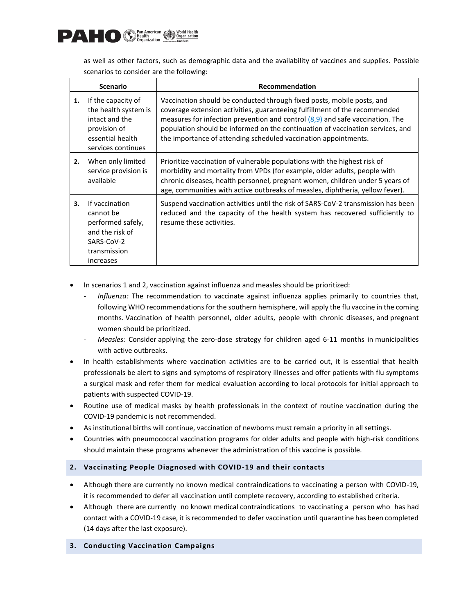

as well as other factors, such as demographic data and the availability of vaccines and supplies. Possible scenarios to consider are the following:

|    | <b>Scenario</b>                                                                                                        | Recommendation                                                                                                                                                                                                                                                                                                                                                                               |
|----|------------------------------------------------------------------------------------------------------------------------|----------------------------------------------------------------------------------------------------------------------------------------------------------------------------------------------------------------------------------------------------------------------------------------------------------------------------------------------------------------------------------------------|
| 1. | If the capacity of<br>the health system is<br>intact and the<br>provision of<br>essential health<br>services continues | Vaccination should be conducted through fixed posts, mobile posts, and<br>coverage extension activities, guaranteeing fulfillment of the recommended<br>measures for infection prevention and control $(8,9)$ and safe vaccination. The<br>population should be informed on the continuation of vaccination services, and<br>the importance of attending scheduled vaccination appointments. |
| 2. | When only limited<br>service provision is<br>available                                                                 | Prioritize vaccination of vulnerable populations with the highest risk of<br>morbidity and mortality from VPDs (for example, older adults, people with<br>chronic diseases, health personnel, pregnant women, children under 5 years of<br>age, communities with active outbreaks of measles, diphtheria, yellow fever).                                                                     |
| 3. | If vaccination<br>cannot be<br>performed safely,<br>and the risk of<br>SARS-CoV-2<br>transmission<br>increases         | Suspend vaccination activities until the risk of SARS-CoV-2 transmission has been<br>reduced and the capacity of the health system has recovered sufficiently to<br>resume these activities.                                                                                                                                                                                                 |

- In scenarios 1 and 2, vaccination against influenza and measles should be prioritized:
	- *Influenza:* The recommendation to vaccinate against influenza applies primarily to countries that, following WHO recommendations for the southern hemisphere, will apply the flu vaccine in the coming months. Vaccination of health personnel, older adults, people with chronic diseases, and pregnant women should be prioritized.
	- *Measles:* Consider applying the zero-dose strategy for children aged 6-11 months in municipalities with active outbreaks.
- In health establishments where vaccination activities are to be carried out, it is essential that health professionals be alert to signs and symptoms of respiratory illnesses and offer patients with flu symptoms a surgical mask and refer them for medical evaluation according to local protocols for initial approach to patients with suspected COVID-19.
- Routine use of medical masks by health professionals in the context of routine vaccination during the COVID-19 pandemic is not recommended.
- As institutional births will continue, vaccination of newborns must remain a priority in all settings.
- Countries with pneumococcal vaccination programs for older adults and people with high-risk conditions should maintain these programs whenever the administration of this vaccine is possible.

### **2. Vaccinating People Diagnosed with COVID-19 and their contacts**

- Although there are currently no known medical contraindications to vaccinating a person with COVID-19, it is recommended to defer all vaccination until complete recovery, according to established criteria.
- Although there are currently no known medical contraindications to vaccinating a person who has had contact with a COVID-19 case, it is recommended to defer vaccination until quarantine has been completed (14 days after the last exposure).

### **3. Conducting Vaccination Campaigns**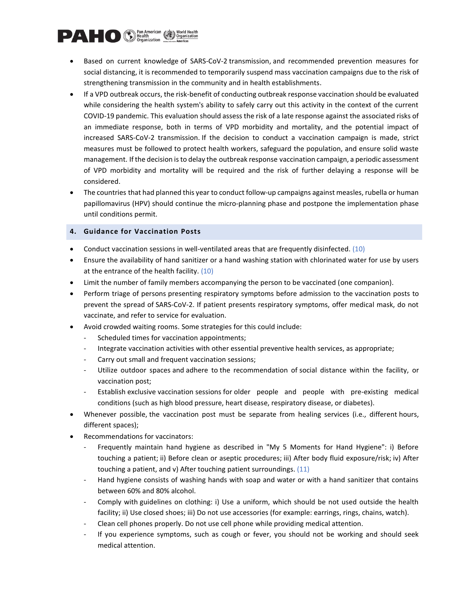# **DAMERICO** C Pan American C Vorld Health

- Based on current knowledge of SARS-CoV-2 transmission, and recommended prevention measures for social distancing, it is recommended to temporarily suspend mass vaccination campaigns due to the risk of strengthening transmission in the community and in health establishments.
- If a VPD outbreak occurs, the risk-benefit of conducting outbreak response vaccination should be evaluated while considering the health system's ability to safely carry out this activity in the context of the current COVID-19 pandemic. This evaluation should assess the risk of a late response against the associated risks of an immediate response, both in terms of VPD morbidity and mortality, and the potential impact of increased SARS-CoV-2 transmission. If the decision to conduct a vaccination campaign is made, strict measures must be followed to protect health workers, safeguard the population, and ensure solid waste management. If the decision is to delay the outbreak response vaccination campaign, a periodic assessment of VPD morbidity and mortality will be required and the risk of further delaying a response will be considered.
- The countries that had planned this year to conduct follow-up campaigns against measles, rubella or human papillomavirus (HPV) should continue the micro-planning phase and postpone the implementation phase until conditions permit.

### **4. Guidance for Vaccination Posts**

- Conduct vaccination sessions in well-ventilated areas that are frequently disinfected. (10)
- Ensure the availability of hand sanitizer or a hand washing station with chlorinated water for use by users at the entrance of the health facility. (10)
- Limit the number of family members accompanying the person to be vaccinated (one companion).
- Perform triage of persons presenting respiratory symptoms before admission to the vaccination posts to prevent the spread of SARS-CoV-2. If patient presents respiratory symptoms, offer medical mask, do not vaccinate, and refer to service for evaluation.
- Avoid crowded waiting rooms. Some strategies for this could include:
	- Scheduled times for vaccination appointments;
	- Integrate vaccination activities with other essential preventive health services, as appropriate;
	- Carry out small and frequent vaccination sessions;
	- Utilize outdoor spaces and adhere to the recommendation of social distance within the facility, or vaccination post;
	- Establish exclusive vaccination sessions for older people and people with pre-existing medical conditions (such as high blood pressure, heart disease, respiratory disease, or diabetes).
- Whenever possible, the vaccination post must be separate from healing services (i.e., different hours, different spaces);
- Recommendations for vaccinators:
	- Frequently maintain hand hygiene as described in "My 5 Moments for Hand Hygiene": i) Before touching a patient; ii) Before clean or aseptic procedures; iii) After body fluid exposure/risk; iv) After touching a patient, and v) After touching patient surroundings.  $(11)$
	- Hand hygiene consists of washing hands with soap and water or with a hand sanitizer that contains between 60% and 80% alcohol.
	- Comply with guidelines on clothing: i) Use a uniform, which should be not used outside the health facility; ii) Use closed shoes; iii) Do not use accessories (for example: earrings, rings, chains, watch).
	- Clean cell phones properly. Do not use cell phone while providing medical attention.
	- If you experience symptoms, such as cough or fever, you should not be working and should seek medical attention.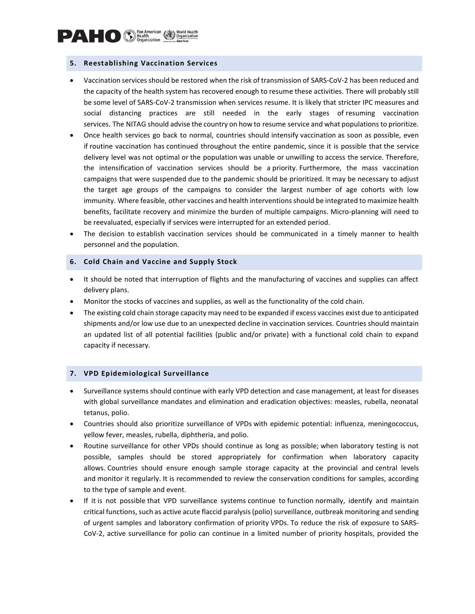### **5. Reestablishing Vaccination Services**

- Vaccination services should be restored when the risk of transmission of SARS-CoV-2 has been reduced and the capacity of the health system has recovered enough to resume these activities. There will probably still be some level of SARS-CoV-2 transmission when services resume. It is likely that stricter IPC measures and social distancing practices are still needed in the early stages of resuming vaccination services. The NITAG should advise the country on how to resume service and what populations to prioritize.
- Once health services go back to normal, countries should intensify vaccination as soon as possible, even if routine vaccination has continued throughout the entire pandemic, since it is possible that the service delivery level was not optimal or the population was unable or unwilling to access the service. Therefore, the intensification of vaccination services should be a priority. Furthermore, the mass vaccination campaigns that were suspended due to the pandemic should be prioritized. It may be necessary to adjust the target age groups of the campaigns to consider the largest number of age cohorts with low immunity. Where feasible, other vaccines and health interventions should be integrated to maximize health benefits, facilitate recovery and minimize the burden of multiple campaigns. Micro-planning will need to be reevaluated, especially if services were interrupted for an extended period.
- The decision to establish vaccination services should be communicated in a timely manner to health personnel and the population.

### **6. Cold Chain and Vaccine and Supply Stock**

- It should be noted that interruption of flights and the manufacturing of vaccines and supplies can affect delivery plans.
- Monitor the stocks of vaccines and supplies, as well as the functionality of the cold chain.
- The existing cold chain storage capacity may need to be expanded if excess vaccines exist due to anticipated shipments and/or low use due to an unexpected decline in vaccination services. Countries should maintain an updated list of all potential facilities (public and/or private) with a functional cold chain to expand capacity if necessary.

### **7. VPD Epidemiological Surveillance**

- Surveillance systems should continue with early VPD detection and case management, at least for diseases with global surveillance mandates and elimination and eradication objectives: measles, rubella, neonatal tetanus, polio.
- Countries should also prioritize surveillance of VPDs with epidemic potential: influenza, meningococcus, yellow fever, measles, rubella, diphtheria, and polio.
- Routine surveillance for other VPDs should continue as long as possible; when laboratory testing is not possible, samples should be stored appropriately for confirmation when laboratory capacity allows. Countries should ensure enough sample storage capacity at the provincial and central levels and monitor it regularly. It is recommended to review the conservation conditions for samples, according to the type of sample and event.
- If it is not possible that VPD surveillance systems continue to function normally, identify and maintain critical functions, such as active acute flaccid paralysis (polio) surveillance, outbreak monitoring and sending of urgent samples and laboratory confirmation of priority VPDs. To reduce the risk of exposure to SARS-CoV-2, active surveillance for polio can continue in a limited number of priority hospitals, provided the